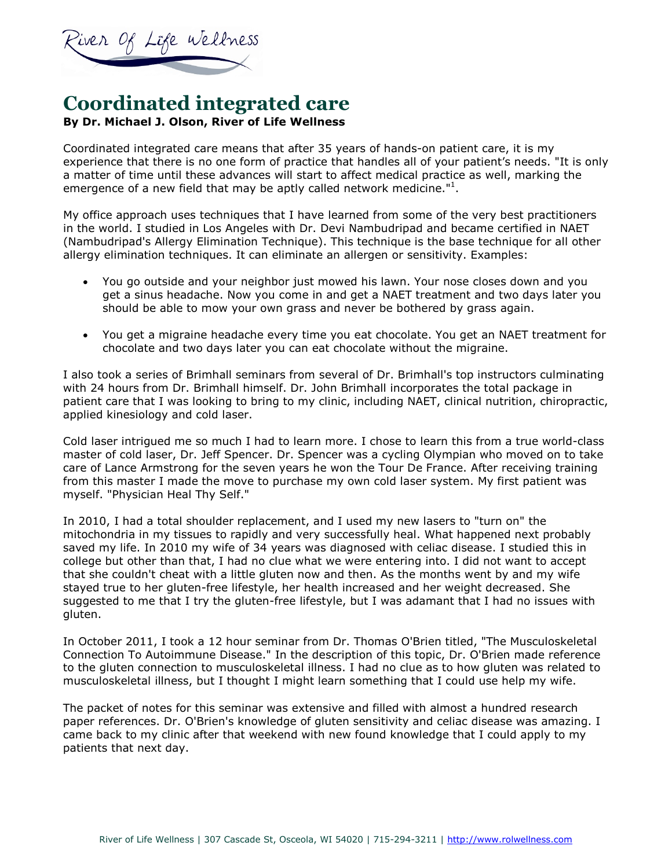

## **Coordinated integrated care**

**By Dr. Michael J. Olson, River of Life Wellness**

Coordinated integrated care means that after 35 years of hands-on patient care, it is my experience that there is no one form of practice that handles all of your patient's needs. "It is only a matter of time until these advances will start to affect medical practice as well, marking the emergence of a new field that may be aptly called network medicine." $^1$ .

My office approach uses techniques that I have learned from some of the very best practitioners in the world. I studied in Los Angeles with Dr. Devi Nambudripad and became certified in NAET (Nambudripad's Allergy Elimination Technique). This technique is the base technique for all other allergy elimination techniques. It can eliminate an allergen or sensitivity. Examples:

- You go outside and your neighbor just mowed his lawn. Your nose closes down and you get a sinus headache. Now you come in and get a NAET treatment and two days later you should be able to mow your own grass and never be bothered by grass again.
- You get a migraine headache every time you eat chocolate. You get an NAET treatment for chocolate and two days later you can eat chocolate without the migraine.

I also took a series of Brimhall seminars from several of Dr. Brimhall's top instructors culminating with 24 hours from Dr. Brimhall himself. Dr. John Brimhall incorporates the total package in patient care that I was looking to bring to my clinic, including NAET, clinical nutrition, chiropractic, applied kinesiology and cold laser.

Cold laser intrigued me so much I had to learn more. I chose to learn this from a true world-class master of cold laser, Dr. Jeff Spencer. Dr. Spencer was a cycling Olympian who moved on to take care of Lance Armstrong for the seven years he won the Tour De France. After receiving training from this master I made the move to purchase my own cold laser system. My first patient was myself. "Physician Heal Thy Self."

In 2010, I had a total shoulder replacement, and I used my new lasers to "turn on" the mitochondria in my tissues to rapidly and very successfully heal. What happened next probably saved my life. In 2010 my wife of 34 years was diagnosed with celiac disease. I studied this in college but other than that, I had no clue what we were entering into. I did not want to accept that she couldn't cheat with a little gluten now and then. As the months went by and my wife stayed true to her gluten-free lifestyle, her health increased and her weight decreased. She suggested to me that I try the gluten-free lifestyle, but I was adamant that I had no issues with gluten.

In October 2011, I took a 12 hour seminar from Dr. Thomas O'Brien titled, "The Musculoskeletal Connection To Autoimmune Disease." In the description of this topic, Dr. O'Brien made reference to the gluten connection to musculoskeletal illness. I had no clue as to how gluten was related to musculoskeletal illness, but I thought I might learn something that I could use help my wife.

The packet of notes for this seminar was extensive and filled with almost a hundred research paper references. Dr. O'Brien's knowledge of gluten sensitivity and celiac disease was amazing. I came back to my clinic after that weekend with new found knowledge that I could apply to my patients that next day.